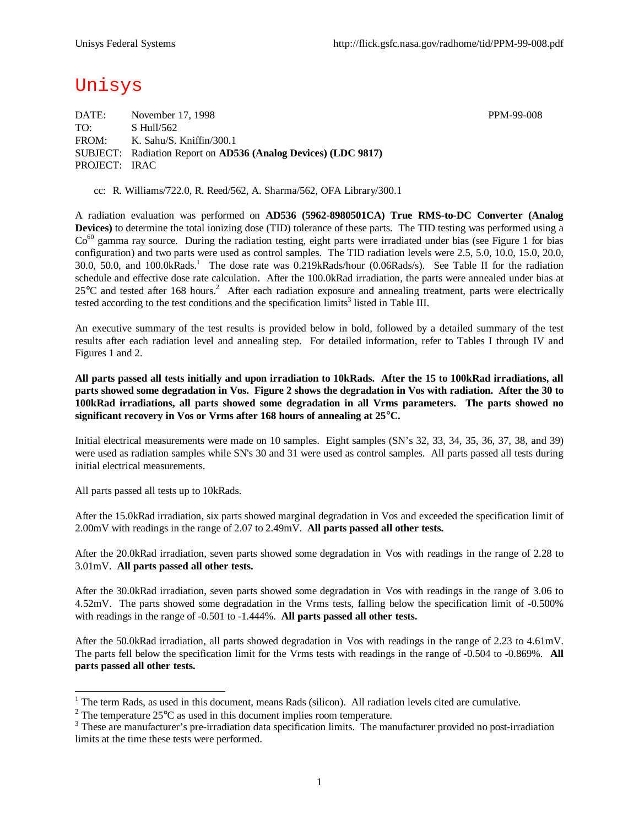# Unisys

DATE: November 17, 1998 PPM-99-008 TO: S Hull/562 FROM: K. Sahu/S. Kniffin/300.1 SUBJECT: Radiation Report on **AD536 (Analog Devices) (LDC 9817)** PROJECT: IRAC

cc: R. Williams/722.0, R. Reed/562, A. Sharma/562, OFA Library/300.1

A radiation evaluation was performed on **AD536 (5962-8980501CA) True RMS-to-DC Converter (Analog Devices)** to determine the total ionizing dose (TID) tolerance of these parts. The TID testing was performed using a  $Co<sup>60</sup>$  gamma ray source. During the radiation testing, eight parts were irradiated under bias (see Figure 1 for bias configuration) and two parts were used as control samples. The TID radiation levels were 2.5, 5.0, 10.0, 15.0, 20.0, 30.0, 50.0, and 100.0kRads.<sup>1</sup> The dose rate was 0.219kRads/hour (0.06Rads/s). See Table II for the radiation schedule and effective dose rate calculation. After the 100.0kRad irradiation, the parts were annealed under bias at  $25^{\circ}$ C and tested after 168 hours.<sup>2</sup> After each radiation exposure and annealing treatment, parts were electrically tested according to the test conditions and the specification  $\lim$ its<sup>3</sup> listed in Table III.

An executive summary of the test results is provided below in bold, followed by a detailed summary of the test results after each radiation level and annealing step. For detailed information, refer to Tables I through IV and Figures 1 and 2.

**All parts passed all tests initially and upon irradiation to 10kRads. After the 15 to 100kRad irradiations, all parts showed some degradation in Vos. Figure 2 shows the degradation in Vos with radiation. After the 30 to 100kRad irradiations, all parts showed some degradation in all Vrms parameters. The parts showed no significant recovery in Vos or Vrms after 168 hours of annealing at 25°C.**

Initial electrical measurements were made on 10 samples. Eight samples (SN's 32, 33, 34, 35, 36, 37, 38, and 39) were used as radiation samples while SN's 30 and 31 were used as control samples. All parts passed all tests during initial electrical measurements.

All parts passed all tests up to 10kRads.

l

After the 15.0kRad irradiation, six parts showed marginal degradation in Vos and exceeded the specification limit of 2.00mV with readings in the range of 2.07 to 2.49mV. **All parts passed all other tests.**

After the 20.0kRad irradiation, seven parts showed some degradation in Vos with readings in the range of 2.28 to 3.01mV. **All parts passed all other tests.**

After the 30.0kRad irradiation, seven parts showed some degradation in Vos with readings in the range of 3.06 to 4.52mV. The parts showed some degradation in the Vrms tests, falling below the specification limit of -0.500% with readings in the range of -0.501 to -1.444%. **All parts passed all other tests.**

After the 50.0kRad irradiation, all parts showed degradation in Vos with readings in the range of 2.23 to 4.61mV. The parts fell below the specification limit for the Vrms tests with readings in the range of -0.504 to -0.869%. **All parts passed all other tests.**

<sup>&</sup>lt;sup>1</sup> The term Rads, as used in this document, means Rads (silicon). All radiation levels cited are cumulative.

<sup>&</sup>lt;sup>2</sup> The temperature  $25^{\circ}$ C as used in this document implies room temperature.

 $3$  These are manufacturer's pre-irradiation data specification limits. The manufacturer provided no post-irradiation limits at the time these tests were performed.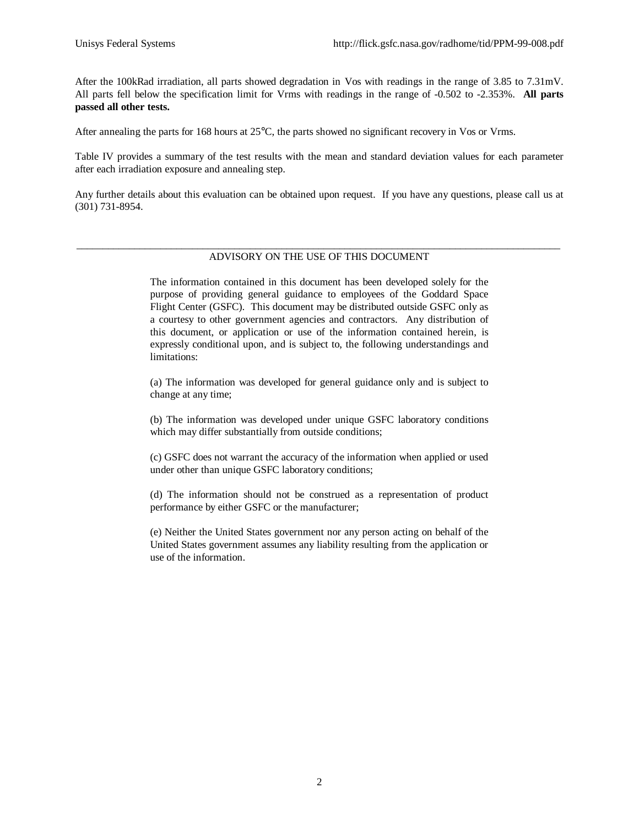After the 100kRad irradiation, all parts showed degradation in Vos with readings in the range of 3.85 to 7.31mV. All parts fell below the specification limit for Vrms with readings in the range of -0.502 to -2.353%. **All parts passed all other tests.**

After annealing the parts for 168 hours at 25°C, the parts showed no significant recovery in Vos or Vrms.

Table IV provides a summary of the test results with the mean and standard deviation values for each parameter after each irradiation exposure and annealing step.

Any further details about this evaluation can be obtained upon request. If you have any questions, please call us at (301) 731-8954.

#### \_\_\_\_\_\_\_\_\_\_\_\_\_\_\_\_\_\_\_\_\_\_\_\_\_\_\_\_\_\_\_\_\_\_\_\_\_\_\_\_\_\_\_\_\_\_\_\_\_\_\_\_\_\_\_\_\_\_\_\_\_\_\_\_\_\_\_\_\_\_\_\_\_\_\_\_\_\_\_\_\_\_\_\_\_\_\_\_\_\_\_\_ ADVISORY ON THE USE OF THIS DOCUMENT

The information contained in this document has been developed solely for the purpose of providing general guidance to employees of the Goddard Space Flight Center (GSFC). This document may be distributed outside GSFC only as a courtesy to other government agencies and contractors. Any distribution of this document, or application or use of the information contained herein, is expressly conditional upon, and is subject to, the following understandings and limitations:

(a) The information was developed for general guidance only and is subject to change at any time;

(b) The information was developed under unique GSFC laboratory conditions which may differ substantially from outside conditions;

(c) GSFC does not warrant the accuracy of the information when applied or used under other than unique GSFC laboratory conditions;

(d) The information should not be construed as a representation of product performance by either GSFC or the manufacturer;

(e) Neither the United States government nor any person acting on behalf of the United States government assumes any liability resulting from the application or use of the information.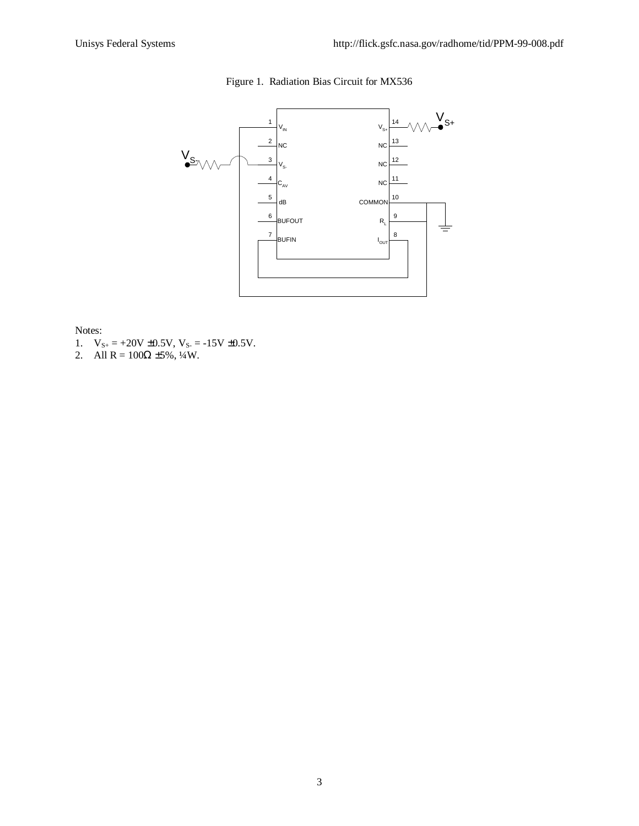# Figure 1. Radiation Bias Circuit for MX536



Notes:

- 1.  $V_{S+} = +20V \pm 0.5V$ ,  $V_{S-} = -15V \pm 0.5V$ .
- 2. All  $R = 100\Omega \pm 5\%, \frac{1}{4}W$ .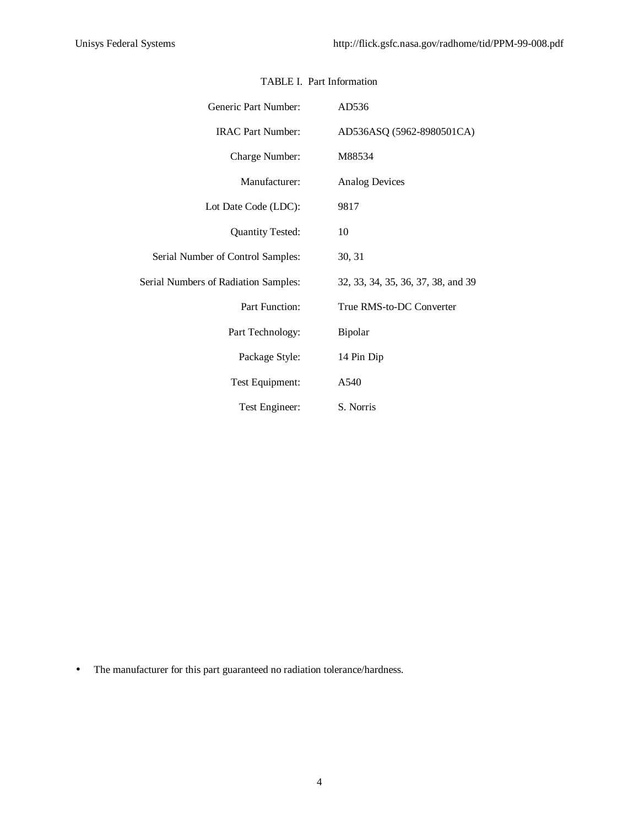| Generic Part Number:                        | AD536                              |
|---------------------------------------------|------------------------------------|
| <b>IRAC Part Number:</b>                    | AD536ASQ (5962-8980501CA)          |
| Charge Number:                              | M88534                             |
| Manufacturer:                               | <b>Analog Devices</b>              |
| Lot Date Code (LDC):                        | 9817                               |
| <b>Quantity Tested:</b>                     | 10                                 |
| Serial Number of Control Samples:           | 30, 31                             |
| <b>Serial Numbers of Radiation Samples:</b> | 32, 33, 34, 35, 36, 37, 38, and 39 |
| Part Function:                              | True RMS-to-DC Converter           |
| Part Technology:                            | Bipolar                            |
| Package Style:                              | 14 Pin Dip                         |
| Test Equipment:                             | A540                               |
| Test Engineer:                              | S. Norris                          |

### TABLE I. Part Information

• The manufacturer for this part guaranteed no radiation tolerance/hardness.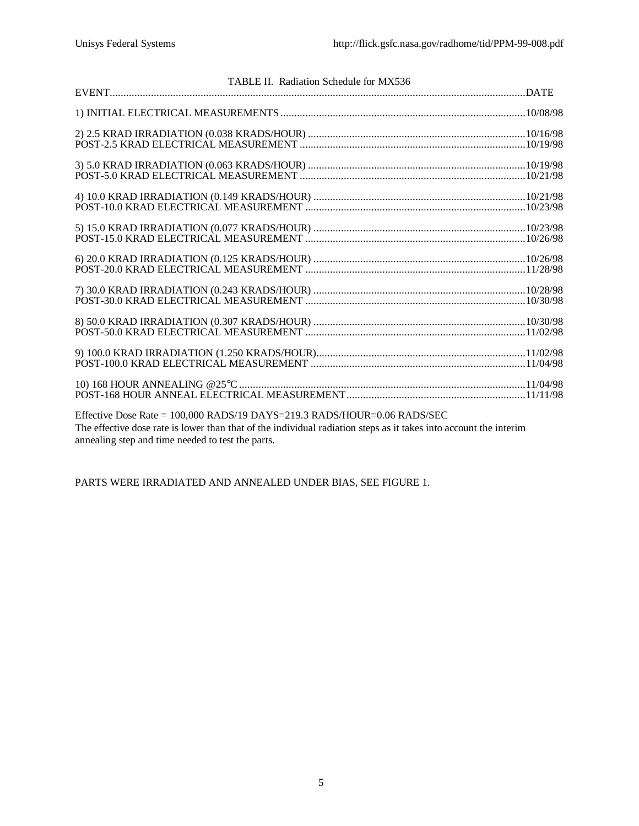| TABLE II. Radiation Schedule for MX536                                           |  |
|----------------------------------------------------------------------------------|--|
|                                                                                  |  |
|                                                                                  |  |
|                                                                                  |  |
|                                                                                  |  |
|                                                                                  |  |
|                                                                                  |  |
|                                                                                  |  |
|                                                                                  |  |
|                                                                                  |  |
|                                                                                  |  |
|                                                                                  |  |
|                                                                                  |  |
|                                                                                  |  |
|                                                                                  |  |
|                                                                                  |  |
|                                                                                  |  |
|                                                                                  |  |
|                                                                                  |  |
|                                                                                  |  |
|                                                                                  |  |
|                                                                                  |  |
| Effective Dose Rate = $100,000$ RADS/19 DAYS= $219.3$ RADS/HOUR= $0.06$ RADS/SEC |  |
|                                                                                  |  |

The effective dose rate is lower than that of the individual radiation steps as it takes into account the interim annealing step and time needed to test the parts.

PARTS WERE IRRADIATED AND ANNEALED UNDER BIAS, SEE FIGURE 1.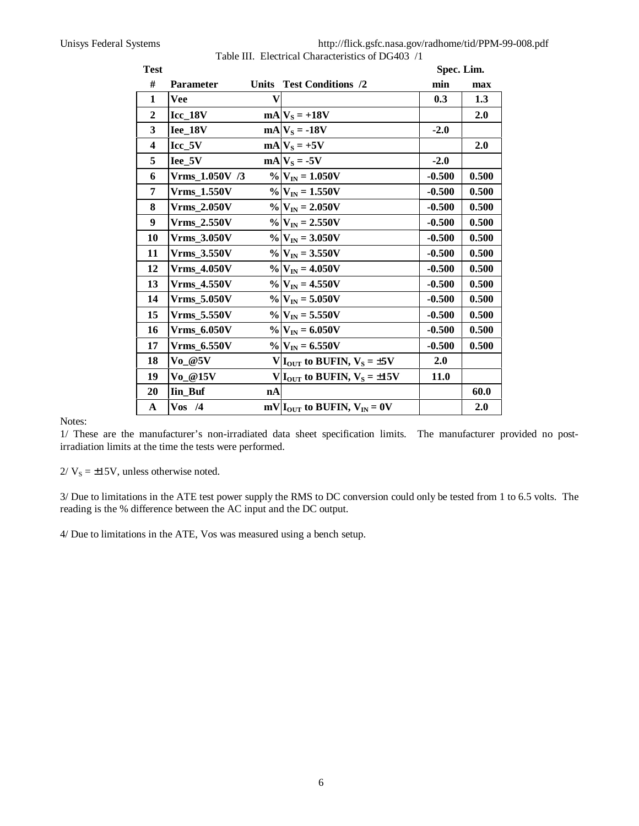Unisys Federal Systems http://flick.gsfc.nasa.gov/radhome/tid/PPM-99-008.pdf

|  |  | Table III. Electrical Characteristics of DG403 /1 |  |  |
|--|--|---------------------------------------------------|--|--|
|--|--|---------------------------------------------------|--|--|

| <b>Test</b>             |                              |              |                                       | Spec. Lim.  |       |
|-------------------------|------------------------------|--------------|---------------------------------------|-------------|-------|
| #                       | <b>Parameter</b>             |              | Units Test Conditions /2              | min         | max   |
| $\mathbf{1}$            | <b>Vee</b>                   | $\mathbf{V}$ |                                       | 0.3         | 1.3   |
| $\boldsymbol{2}$        | $Icc_18V$                    |              | $mA V_S = +18V$                       |             | 2.0   |
| $\overline{\mathbf{3}}$ | Iee_18V                      |              | $mA V_S = -18V$                       | $-2.0$      |       |
| $\overline{\mathbf{4}}$ | $Icc_5V$                     |              | $mA$ <sub>S</sub> $= +5V$             |             | 2.0   |
| 5                       | $Iee_5V$                     |              | $mA V_S = -5V$                        | $-2.0$      |       |
| 6                       | Vrms 1.050V /3               |              | $\%$ $V_{IN}$ = 1.050V                | $-0.500$    | 0.500 |
| 7                       | <b>Vrms_1.550V</b>           |              | $\%$ $V_{IN}$ = 1.550V                | $-0.500$    | 0.500 |
| 8                       | <b>Vrms 2.050V</b>           |              | $\%$ $V_{IN}$ = 2.050V                | $-0.500$    | 0.500 |
| 9                       | <b>Vrms_2.550V</b>           |              | $\%$ $V_{IN}$ = 2.550V                | $-0.500$    | 0.500 |
| 10                      | <b>Vrms_3.050V</b>           |              | $\%$ $V_{IN}$ = 3.050V                | $-0.500$    | 0.500 |
| 11                      | <b>Vrms_3.550V</b>           |              | $\%$ $V_{IN}$ = 3.550V                | $-0.500$    | 0.500 |
| 12                      | <b>Vrms_4.050V</b>           |              | $\%$ $V_{IN}$ = 4.050V                | $-0.500$    | 0.500 |
| 13                      | <b>Vrms_4.550V</b>           |              | $\%$ $V_{IN}$ = 4.550V                | $-0.500$    | 0.500 |
| 14                      | <b>Vrms_5.050V</b>           |              | $\%$ $V_{IN}$ = 5.050V                | $-0.500$    | 0.500 |
| 15                      | <b>Vrms 5.550V</b>           |              | $\%$ $V_{IN}$ = 5.550V                | $-0.500$    | 0.500 |
| 16                      | <b>Vrms_6.050V</b>           |              | $\%$ $V_{IN}$ = 6.050V                | $-0.500$    | 0.500 |
| 17                      | <b>Vrms 6.550V</b>           |              | $\%$ $V_{IN}$ = 6.550V                | $-0.500$    | 0.500 |
| 18                      | $\mathbf{Vo}\_\@5\mathbf{V}$ |              | $V I_{OUT}$ to BUFIN, $V_S = \pm 5V$  | 2.0         |       |
| 19                      | Vo @15V                      |              | $V I_{OUT}$ to BUFIN, $V_s = \pm 15V$ | <b>11.0</b> |       |
| 20                      | <b>Iin_Buf</b>               | nA           |                                       |             | 60.0  |
| A                       | $V$ os /4                    |              | $mV IOUT$ to BUFIN, $VIN = 0V$        |             | 2.0   |

Notes:

1/ These are the manufacturer's non-irradiated data sheet specification limits. The manufacturer provided no postirradiation limits at the time the tests were performed.

 $2/V_s = \pm 15V$ , unless otherwise noted.

3/ Due to limitations in the ATE test power supply the RMS to DC conversion could only be tested from 1 to 6.5 volts. The reading is the % difference between the AC input and the DC output.

4/ Due to limitations in the ATE, Vos was measured using a bench setup.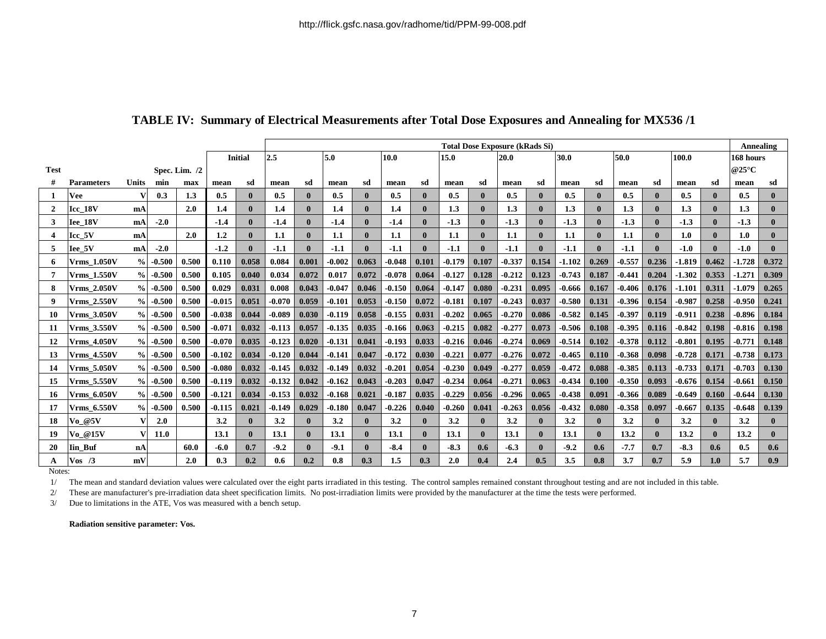|                  |                    |               |             |               |          |                | <b>Total Dose Exposure (kRads Si)</b> |       |          |              |          |              |          |              |          |              |          |                  | <b>Annealing</b> |       |          |              |                          |              |
|------------------|--------------------|---------------|-------------|---------------|----------|----------------|---------------------------------------|-------|----------|--------------|----------|--------------|----------|--------------|----------|--------------|----------|------------------|------------------|-------|----------|--------------|--------------------------|--------------|
|                  |                    |               |             |               |          | <b>Initial</b> | 2.5<br>5.0<br>10.0                    |       |          |              |          |              | 15.0     | 20.0         |          |              | 30.0     |                  | 50.0             |       | 100.0    |              | 168 hours                |              |
| <b>Test</b>      |                    |               |             | Spec. Lim. /2 |          |                |                                       |       |          |              |          |              |          |              |          |              |          |                  |                  |       |          |              | @25 $\mathrm{^{\circ}C}$ |              |
| #                | <b>Parameters</b>  | Units         | min         | max           | mean     | sd             | mean                                  | sd    | mean     | sd           | mean     | sd           | mean     | sd           | mean     | sd           | mean     | sd               | mean             | sd    | mean     | sd           | mean                     | sd           |
|                  | <b>Vee</b>         | v             | 0.3         | 1.3           | 0.5      | 0              | 0.5                                   |       | 0.5      |              | 0.5      | $\mathbf{0}$ | 0.5      | $\mathbf{0}$ | 0.5      | $\mathbf{0}$ | 0.5      |                  | 0.5              |       | 0.5      | 0            | 0.5                      | $\mathbf{0}$ |
| $\mathbf{2}$     | Icc 18V            | mA            |             | 2.0           | 1.4      | 0              | 1.4                                   | 0     | 1.4      | $\mathbf 0$  | 1.4      | $\mathbf{0}$ | 1.3      | $\mathbf{0}$ | 1.3      | $\mathbf{0}$ | 1.3      | 0                | 1.3              |       | 1.3      | $\mathbf 0$  | 1.3                      | $\mathbf{0}$ |
| 3                | Iee 18V            | mA            | $-2.0$      |               | $-1.4$   |                | $-1.4$                                |       | $-1.4$   | $\mathbf 0$  | $-1.4$   | $\mathbf{0}$ | $-1.3$   | $\mathbf{0}$ | $-1.3$   | $\mathbf{0}$ | $-1.3$   |                  | $-1.3$           |       | $-1.3$   | 0            | $-1.3$                   | $\mathbf{0}$ |
| $\boldsymbol{4}$ | Icc 5V             | mA            |             | 2.0           | 1.2      | 0              | 1.1                                   |       | -1.1     | $\mathbf 0$  | 1.1      | $\mathbf{0}$ | 1.1      | $\mathbf{0}$ | $1.1\,$  | $\mathbf{0}$ | $1.1\,$  | 0                | 1.1              |       | 1.0      | $\mathbf{0}$ | 1.0                      | $\mathbf{0}$ |
| 5.               | Iee_5V             | mA            | $-2.0$      |               | $-1.2$   |                | $-1.1$                                |       | $-1.1$   | $\mathbf{0}$ | $-1.1$   | $\mathbf{0}$ | $-1.1$   | $\mathbf{0}$ | $-1.1$   | $\mathbf{0}$ | $-1.1$   |                  | $-1.1$           |       | $-1.0$   | 0            | $-1.0$                   | $\mathbf{0}$ |
| 6                | <b>Vrms 1.050V</b> | $\frac{0}{0}$ | $-0.500$    | 0.500         | 0.110    | 0.058          | 0.084                                 | 0.001 | $-0.002$ | 0.063        | $-0.048$ | 0.101        | $-0.179$ | 0.107        | $-0.337$ | 0.154        | $-1.102$ | 0.269            | $-0.557$         | 0.236 | $-1.819$ | 0.462        | $-1.728$                 | 0.372        |
|                  | <b>Vrms 1.550V</b> | $\%$          | $-0.500$    | 0.500         | 0.105    | 0.040          | 0.034                                 | 0.072 | 0.017    | 0.072        | $-0.078$ | 0.064        | $-0.127$ | 0.128        | $-0.212$ | 0.123        | $-0.743$ | 0.187            | $-0.441$         | 0.204 | $-1.302$ | 0.353        | $-1.271$                 | 0.309        |
| 8                | <b>Vrms 2.050V</b> | $\frac{0}{0}$ | $-0.500$    | 0.500         | 0.029    | 0.031          | 0.008                                 | 0.043 | $-0.047$ | 0.046        | $-0.150$ | 0.064        | $-0.147$ | 0.080        | $-0.231$ | 0.095        | -0.666   | 0.167            | $-0.406$         | 0.176 | $-1.101$ | 0.311        | $-1.079$                 | 0.265        |
| 9                | <b>Vrms 2.550V</b> | $\%$          | $-0.500$    | 0.500         | $-0.015$ | 0.051          | $-0.070$                              | 0.059 | $-0.101$ | 0.053        | -0.150   | 0.072        | $-0.181$ | 0.107        | $-0.243$ | 0.037        | $-0.580$ | 0.131            | $-0.396$         | 0.154 | $-0.987$ | 0.258        | $-0.950$                 | 0.241        |
| 10               | <b>Vrms 3.050V</b> | $\frac{0}{0}$ | $-0.500$    | 0.500         | $-0.038$ | 0.044          | $-0.089$                              | 0.030 | $-0.119$ | 0.058        | $-0.155$ | 0.031        | $-0.202$ | 0.065        | $-0.270$ | 0.086        | $-0.582$ | 0.145            | $-0.397$         | 0.119 | $-0.911$ | 0.238        | $-0.896$                 | 0.184        |
| 11               | <b>Vrms 3.550V</b> | $\frac{9}{6}$ | $-0.500$    | 0.500         | $-0.071$ | 0.032          | $-0.113$                              | 0.057 | $-0.135$ | 0.035        | $-0.166$ | 0.063        | $-0.215$ | 0.082        | $-0.277$ | 0.073        | $-0.506$ | 0.108            | $-0.395$         | 0.116 | $-0.842$ | 0.198        | $-0.816$                 | 0.198        |
| 12               | <b>Vrms 4.050V</b> | $\frac{9}{6}$ | $-0.500$    | 0.500         | $-0.070$ | 0.035          | $-0.123$                              | 0.020 | $-0.131$ | 0.041        | $-0.193$ | 0.033        | $-0.216$ | 0.046        | $-0.274$ | 0.069        | $-0.514$ | 0.102            | $-0.378$         | 0.112 | $-0.801$ | 0.195        | $-0.77$                  | 0.148        |
| 13               | <b>Vrms 4.550V</b> | $\%$          | $-0.500$    | 0.500         | $-0.102$ | 0.034          | $-0.120$                              | 0.044 | $-0.141$ | 0.047        | $-0.172$ | 0.030        | $-0.221$ | 0.077        | $-0.276$ | 0.072        | $-0.465$ | 0.110            | $-0.368$         | 0.098 | $-0.728$ | 0.171        | $-0.738$                 | 0.173        |
| 14               | <b>Vrms 5.050V</b> | $\%$          | $-0.500$    | 0.500         | $-0.080$ | 0.032          | $-0.145$                              | 0.032 | $-0.149$ | 0.032        | $-0.201$ | 0.054        | $-0.230$ | 0.049        | $-0.277$ | 0.059        | $-0.472$ | 0.088            | $-0.385$         | 0.113 | $-0.733$ | 0.171        | $-0.703$                 | 0.130        |
| 15               | <b>Vrms 5.550V</b> | $\frac{9}{6}$ | $-0.500$    | 0.500         | $-0.119$ | 0.032          | $-0.132$                              | 0.042 | $-0.162$ | 0.043        | $-0.203$ | 0.047        | $-0.234$ | 0.064        | $-0.271$ | 0.063        | $-0.434$ | 0.100            | $-0.350$         | 0.093 | $-0.676$ | 0.154        | $-0.661$                 | 0.150        |
| 16               | <b>Vrms 6.050V</b> | $\%$          | $-0.500$    | 0.500         | $-0.121$ | 0.034          | $-0.153$                              | 0.032 | $-0.168$ | 0.021        | $-0.187$ | 0.035        | $-0.229$ | 0.056        | $-0.296$ | 0.065        | $-0.438$ | 0.091            | $-0.366$         | 0.089 | $-0.649$ | 0.160        | $-0.644$                 | 0.130        |
| 17               | <b>Vrms 6.550V</b> | $\frac{9}{6}$ | $-0.500$    | 0.500         | $-0.115$ | 0.021          | $-0.149$                              | 0.029 | $-0.180$ | 0.047        | $-0.226$ | 0.040        | $-0.260$ | 0.041        | $-0.263$ | 0.056        | $-0.432$ | 0.080            | $-0.358$         | 0.097 | $-0.667$ | 0.135        | $-0.648$                 | 0.139        |
| 18               | $Vo$ @5V           | v             | 2.0         |               | 3.2      |                | 3.2                                   | 0     | 3.2      | $\mathbf 0$  | 3.2      | $\mathbf{0}$ | 3.2      | $\mathbf{0}$ | 3.2      | $\mathbf{0}$ | 3.2      | 0                | 3.2              |       | 3.2      | $\mathbf{0}$ | 3.2                      | $\bf{0}$     |
| 19               | $Vo$ @15V          |               | <b>11.0</b> |               | 13.1     | 0              | 13.1                                  |       | 13.1     | $\mathbf 0$  | 13.1     | $\mathbf{0}$ | 13.1     | $\mathbf{0}$ | 13.1     | $\mathbf{0}$ | 13.1     |                  | 13.2             |       | 13.2     | 0            | 13.2                     | $\mathbf{0}$ |
| 20               | Iin_Buf            | nA            |             | 60.0          | $-6.0$   | 0.7            | $-9.2$                                |       | $-9.1$   | $\mathbf 0$  | $-8.4$   | $\mathbf{0}$ | $-8.3$   | 0.6          | $-6.3$   | $\mathbf{0}$ | $-9.2$   | 0.6 <sub>1</sub> | $-7.7$           | 0.7   | $-8.3$   | 0.6          | 0.5                      | 0.6          |
| A                | $V$ os /3          | mV            |             | 2.0           | 0.3      | 0.2            | 0.6                                   | 0.2   | 0.8      | 0.3          | 1.5      | 0.3          | 2.0      | 0.4          | 2.4      | 0.5          | 3.5      | 0.8              | 3.7              | 0.7   | 5.9      | ${\bf 1.0}$  | 5.7                      | 0.9          |

## **TABLE IV: Summary of Electrical Measurements after Total Dose Exposures and Annealing for MX536 /1**

Notes:

1/ The mean and standard deviation values were calculated over the eight parts irradiated in this testing. The control samples remained constant throughout testing and are not included in this table.

2/ These are manufacturer's pre-irradiation data sheet specification limits. No post-irradiation limits were provided by the manufacturer at the time the tests were performed.

3/ Due to limitations in the ATE, Vos was measured with a bench setup.

**Radiation sensitive parameter: Vos.**